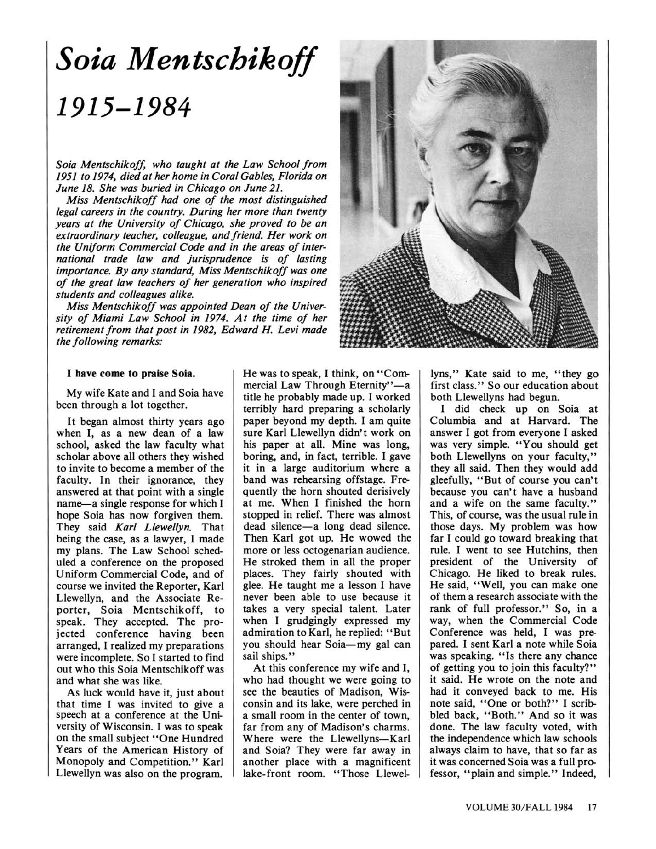## Soia Mentschikoff 1915-1984

Soia Mentschikoff, who taught at the Law School from 1951 to 1974, died at her home in Coral Gables, Florida on June 18. She was buried in Chicago on June 21.

Miss Mentschikoff had one of the most distinguished legal careers in the country. During her more than twenty years at the University of Chicago, she proved to be an extraordinary teacher, colleague, and friend. Her work on the Uniform Commercial Code and in the areas of international trade law and jurisprudence is of lasting importance. By any standard, Miss Mentschikoff was one of the great law teachers of her generation who inspired students and colleagues alike.

Miss Mentschikoff was appointed Dean of the University of Miami Law School in 1974. At the time of her retirement from that post in 1982, Edward H. Levi made the following remarks:



## I have come to praise Soia.

My wife Kate and I and Soia have been through <sup>a</sup> lot together.

It began almost thirty years ago when I, as <sup>a</sup> new dean of <sup>a</sup> law school, asked the law faculty what scholar above all others they wished to invite to become a member of the faculty. In their ignorance, they answered at that point with <sup>a</sup> single name-a single response for which I hope Soia has now forgiven them. They said Karl Llewellyn. That being the case, as a lawyer, I made my plans. The Law School scheduled a conference on the proposed Uniform Commercial Code, and of course we invited the Reporter, Karl Llewellyn, and the Associate Reporter, Soia Mentschikoff, to speak. They accepted. The projected conference having been arranged, I realized my preparations were incomplete. So I started to find out who this Soia Mentschikoff was and what she was like.

As luck would have it, just about that time I was invited to give <sup>a</sup> speech at a conference at the University of Wisconsin. I was to speak on the small subject "One Hundred Years of the American History of Monopoly and Competition." Karl Llewellyn was also on the program.

He was to speak, I think, on "Commercial Law Through Eternity"-a title he probably made up. I worked terribly hard preparing a scholarly paper beyond my depth. I am quite sure Karl Llewellyn didn't work on his paper at all. Mine was long, boring, and, in fact, terrible. I gave it in <sup>a</sup> large auditorium where <sup>a</sup> band was rehearsing offstage. Frequently the horn shouted derisively at me. When I finished the horn stopped in relief. There was almost dead silence-a long dead silence. Then Karl got up. He wowed the more or less octogenarian audience. He stroked them in all the proper places. They fairly shouted with glee. He taught me <sup>a</sup> lesson I have never been able to use because it takes a very special talent. Later when I grudgingly expressed my admiration to Karl, he replied: "But you should hear Soia-my gal can sail ships."

At this conference my wife and I, who had thought we were going to see the beauties of Madison, Wisconsin and its lake, were perched in a small room in the center of town, far from any of Madison's charms. Where were the Llewellyns-Karl and Soia? They were far away in another place with <sup>a</sup> magnificent lake-front room. "Those Llewel-

lyns," Kate said to me, "they go first class." So our education about both Llewellyns had begun.

I did check up on Soia at Columbia and at Harvard. The answer I got from everyone I asked was very simple. "You should get both Llewellyns on your faculty," they all said. Then they would add gleefully, "But of course you can't because you can't have a husband and a wife on the same faculty." This, of course, was the usual rule in those days. My problem was how far I could go toward breaking that rule. I went to see Hutchins, then president of the University of Chicago. He liked to break rules. He said, "Well, you can make one of them a research associate with the rank of full professor." So, in <sup>a</sup> way, when the Commercial Code Conference was held, I was prepared. I sent Karl <sup>a</sup> note while Soia was speaking. "Is there any chance of getting you to join this faculty?" it said. He wrote on the note and had it conveyed back to me. His note said, "One or both?" I scribbled back, "Both." And so it was done. The law faculty voted, with the independence which law schools always claim to have, that so far as it was concerned Soia was <sup>a</sup> full professor, "plain and simple." Indeed,